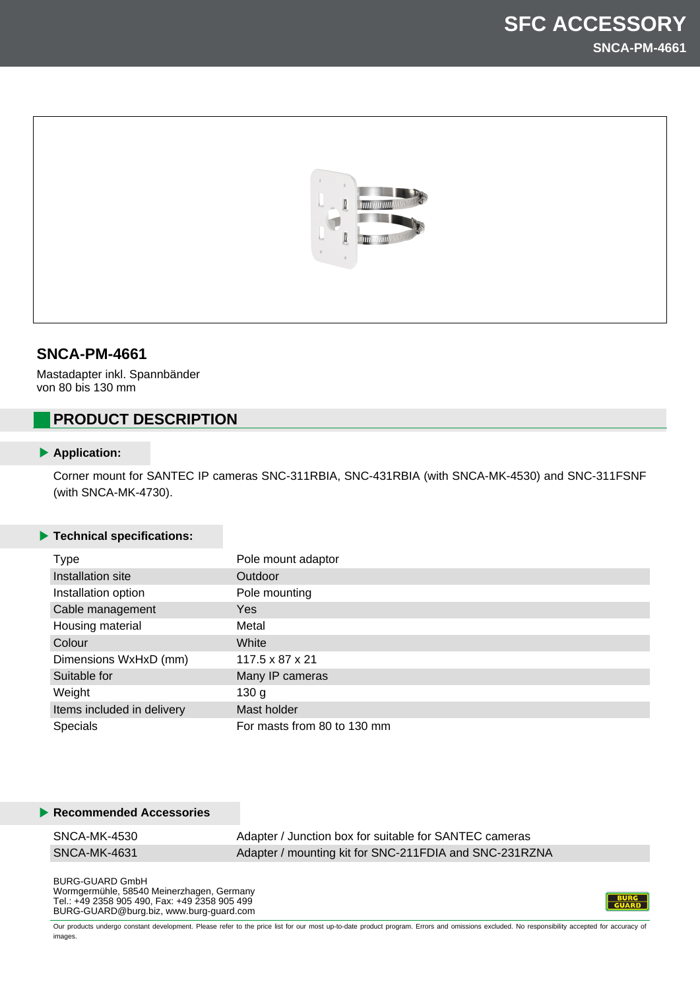

## **SNCA-PM-4661**

Mastadapter inkl. Spannbänder von 80 bis 130 mm

# **PRODUCT DESCRIPTION**

#### **Application:**

Corner mount for SANTEC IP cameras SNC-311RBIA, SNC-431RBIA (with SNCA-MK-4530) and SNC-311FSNF (with SNCA-MK-4730).

### **Technical specifications:**

| <b>Type</b>                | Pole mount adaptor          |
|----------------------------|-----------------------------|
| Installation site          | Outdoor                     |
| Installation option        | Pole mounting               |
| Cable management           | <b>Yes</b>                  |
| Housing material           | Metal                       |
| Colour                     | White                       |
| Dimensions WxHxD (mm)      | 117.5 x 87 x 21             |
| Suitable for               | Many IP cameras             |
| Weight                     | 130 <sub>g</sub>            |
| Items included in delivery | Mast holder                 |
| <b>Specials</b>            | For masts from 80 to 130 mm |

#### **Recommended Accessories**

| SNCA-MK-4530 | Adapter / Junction box for suitable for SANTEC cameras |
|--------------|--------------------------------------------------------|
| SNCA-MK-4631 | Adapter / mounting kit for SNC-211FDIA and SNC-231RZNA |

BURG-GUARD GmbH Wormgermühle, 58540 Meinerzhagen, Germany Tel.: +49 2358 905 490, Fax: +49 2358 905 499 BURG-GUARD@burg.biz, www.burg-guard.com



Our products undergo constant development. Please refer to the price list for our most up-to-date product program. Errors and omissions excluded. No responsibility accepted for accuracy of images.